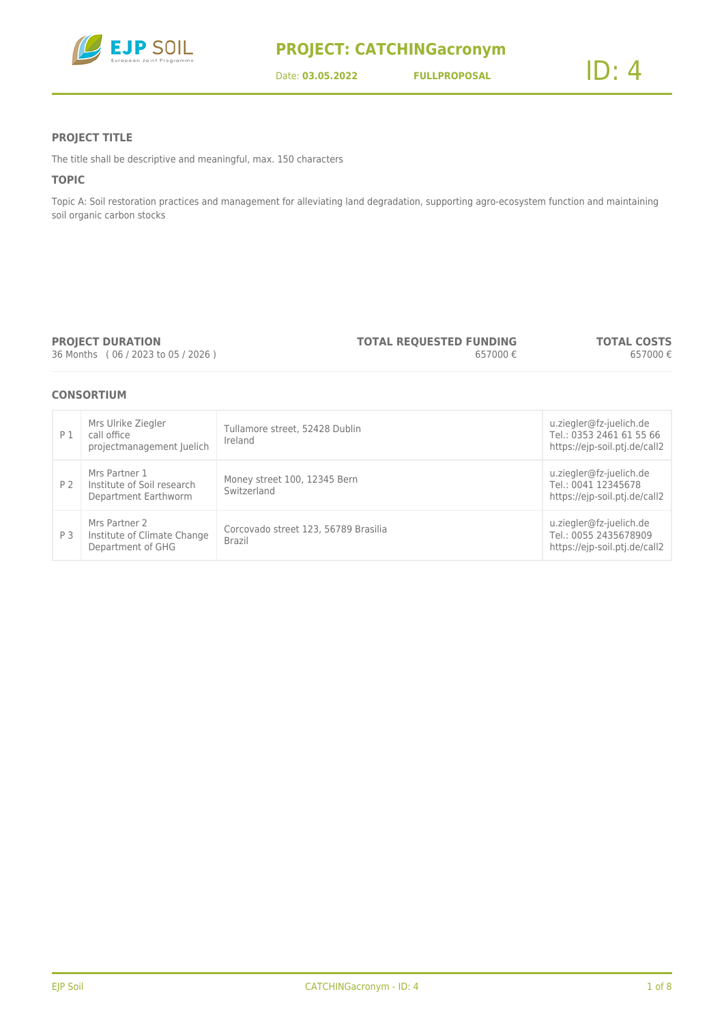

#### **PROJECT TITLE**

The title shall be descriptive and meaningful, max. 150 characters

#### **TOPIC**

Topic A: Soil restoration practices and management for alleviating land degradation, supporting agro-ecosystem function and maintaining soil organic carbon stocks

#### **PROJECT DURATION**

36 Months ( 06 / 2023 to 05 / 2026 )

**TOTAL REQUESTED FUNDING** 657000 € **TOTAL COSTS** 657000 €

#### **CONSORTIUM**

| P 1            | Mrs Ulrike Ziegler<br>call office<br>projectmanagement Juelich      | Tullamore street, 52428 Dublin<br>Ireland             | u.ziegler@fz-juelich.de<br>Tel.: 0353 2461 61 55 66<br>https://ejp-soil.ptj.de/call2 |
|----------------|---------------------------------------------------------------------|-------------------------------------------------------|--------------------------------------------------------------------------------------|
| P <sub>2</sub> | Mrs Partner 1<br>Institute of Soil research<br>Department Earthworm | Money street 100, 12345 Bern<br>Switzerland           | u.ziegler@fz-juelich.de<br>Tel.: 0041 12345678<br>https://ejp-soil.ptj.de/call2      |
| P 3            | Mrs Partner 2<br>Institute of Climate Change<br>Department of GHG   | Corcovado street 123, 56789 Brasilia<br><b>Brazil</b> | u.ziegler@fz-juelich.de<br>Tel.: 0055 2435678909<br>https://ejp-soil.ptj.de/call2    |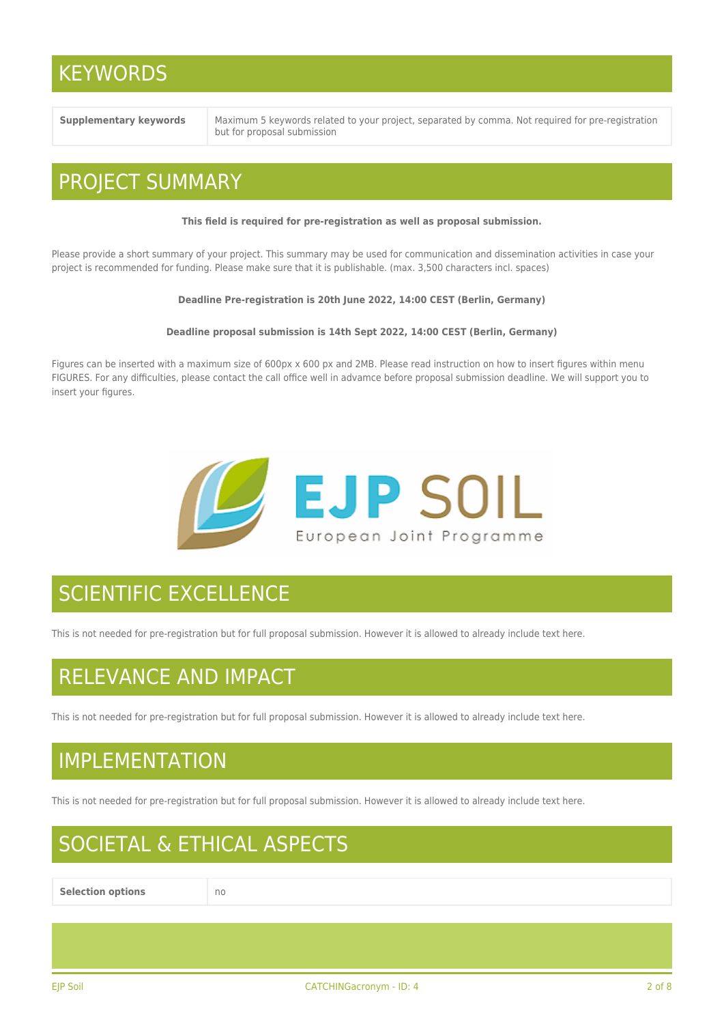### **KEYWORDS**

**Supplementary keywords** Maximum 5 keywords related to your project, separated by comma. Not required for pre-registration but for proposal submission

### PROJECT SUMMARY

#### **This field is required for pre-registration as well as proposal submission.**

Please provide a short summary of your project. This summary may be used for communication and dissemination activities in case your project is recommended for funding. Please make sure that it is publishable. (max. 3,500 characters incl. spaces)

#### **Deadline Pre-registration is 20th June 2022, 14:00 CEST (Berlin, Germany)**

#### **Deadline proposal submission is 14th Sept 2022, 14:00 CEST (Berlin, Germany)**

Figures can be inserted with a maximum size of 600px x 600 px and 2MB. Please read instruction on how to insert figures within menu FIGURES. For any difficulties, please contact the call office well in advamce before proposal submission deadline. We will support you to insert your figures.



# SCIENTIFIC EXCELLENCE

This is not needed for pre-registration but for full proposal submission. However it is allowed to already include text here.

### RELEVANCE AND IMPACT

This is not needed for pre-registration but for full proposal submission. However it is allowed to already include text here.

### IMPLEMENTATION

This is not needed for pre-registration but for full proposal submission. However it is allowed to already include text here.

## SOCIETAL & ETHICAL ASPECTS

**Selection options** no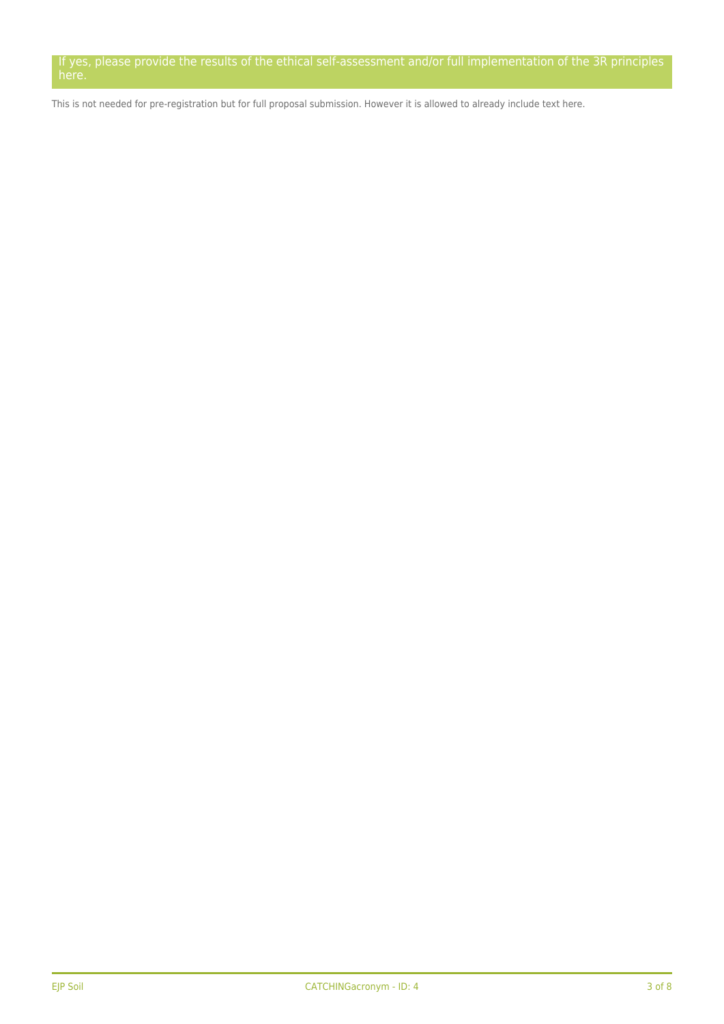If yes, please provide the results of the ethical self-assessment and/or full implementation of the 3R principles here.

This is not needed for pre-registration but for full proposal submission. However it is allowed to already include text here.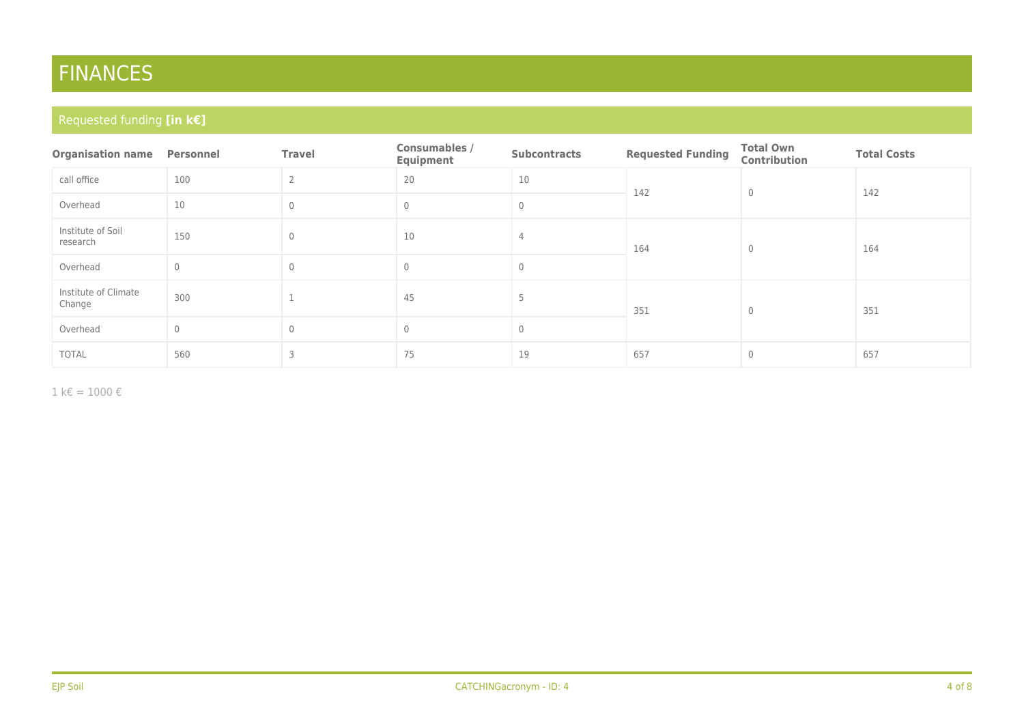# FINANCES

### Requested funding **[in k€]**

| <b>Organisation name</b>       | Personnel    | <b>Travel</b>  | Consumables /<br>Equipment | <b>Subcontracts</b>      | <b>Requested Funding</b> | <b>Total Own</b><br><b>Contribution</b> | <b>Total Costs</b> |
|--------------------------------|--------------|----------------|----------------------------|--------------------------|--------------------------|-----------------------------------------|--------------------|
| call office                    | 100          | $\overline{2}$ | 20                         | 10                       | 142                      | $\mathbf{0}$                            | 142                |
| Overhead                       | 10           | $\Omega$       | $\mathbf{0}$               | $\circ$                  |                          |                                         |                    |
| Institute of Soil<br>research  | 150          | $\Omega$       | 10                         | 4<br>164<br>$\mathbf{0}$ |                          |                                         | 164                |
| Overhead                       | $\mathbf 0$  | $\theta$       | $\mathbf 0$                | $\circ$                  |                          |                                         |                    |
| Institute of Climate<br>Change | 300          |                | 45                         | 5                        | 351                      | $\mathbf{0}$                            | 351                |
| Overhead                       | $\mathbf{0}$ | $\theta$       | $\overline{0}$             | $\circ$                  |                          |                                         |                    |
| <b>TOTAL</b>                   | 560          | 3              | 75                         | 19                       | 657                      | $\mathbf{0}$                            | 657                |

 $1$  k€ = 1000 €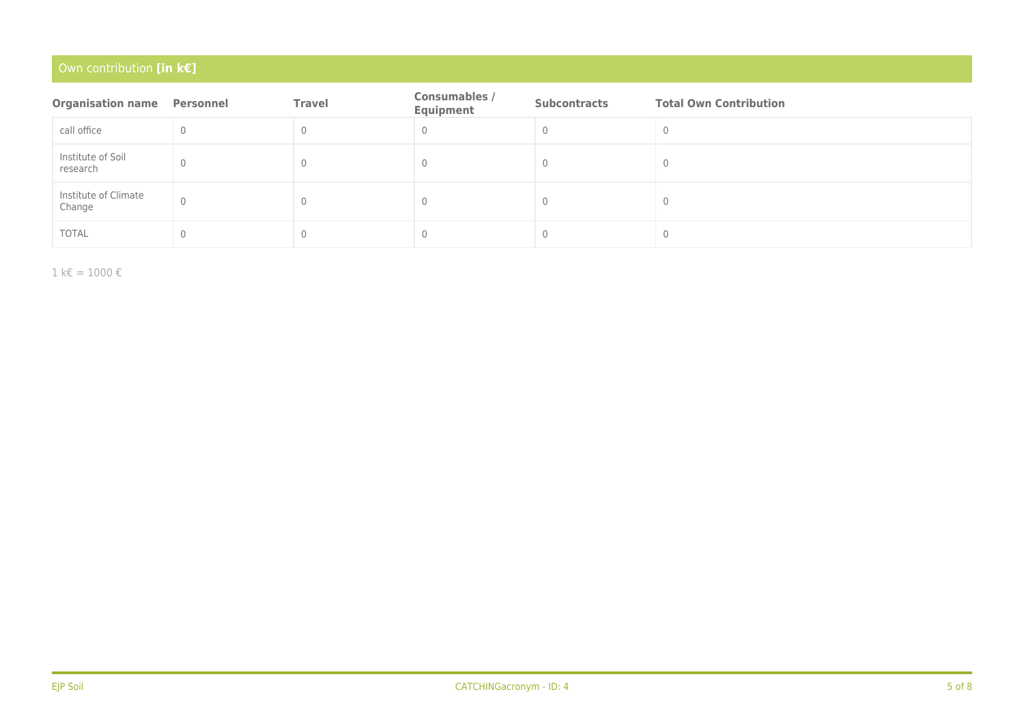### Own contribution **[in k€]**

| <b>Organisation name</b>       | Personnel | <b>Travel</b> | <b>Consumables /</b><br>Equipment | <b>Subcontracts</b> | <b>Total Own Contribution</b> |
|--------------------------------|-----------|---------------|-----------------------------------|---------------------|-------------------------------|
| call office                    |           |               |                                   |                     |                               |
| Institute of Soil<br>research  |           |               |                                   |                     |                               |
| Institute of Climate<br>Change |           |               |                                   |                     |                               |
| <b>TOTAL</b>                   |           |               |                                   |                     |                               |

 $1$  k€ = 1000 €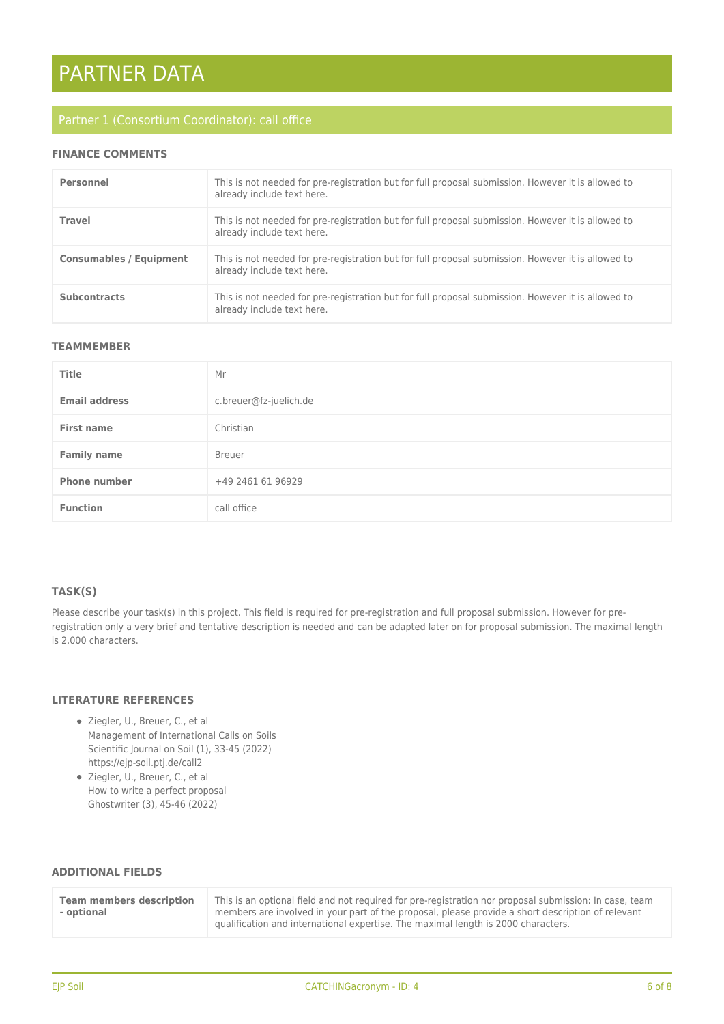# PARTNER DATA

#### **FINANCE COMMENTS**

| Personnel                      | This is not needed for pre-registration but for full proposal submission. However it is allowed to<br>already include text here. |
|--------------------------------|----------------------------------------------------------------------------------------------------------------------------------|
| Travel                         | This is not needed for pre-registration but for full proposal submission. However it is allowed to<br>already include text here. |
| <b>Consumables / Equipment</b> | This is not needed for pre-registration but for full proposal submission. However it is allowed to<br>already include text here. |
| <b>Subcontracts</b>            | This is not needed for pre-registration but for full proposal submission. However it is allowed to<br>already include text here. |

#### **TEAMMEMBER**

| <b>Title</b>         | Mr                     |
|----------------------|------------------------|
| <b>Email address</b> | c.breuer@fz-juelich.de |
| <b>First name</b>    | Christian              |
| <b>Family name</b>   | <b>Breuer</b>          |
| <b>Phone number</b>  | +49 2461 61 96929      |
| <b>Function</b>      | call office            |

#### **TASK(S)**

Please describe your task(s) in this project. This field is required for pre-registration and full proposal submission. However for preregistration only a very brief and tentative description is needed and can be adapted later on for proposal submission. The maximal length is 2,000 characters.

#### **LITERATURE REFERENCES**

- Ziegler, U., Breuer, C., et al Management of International Calls on Soils Scientific Journal on Soil (1), 33-45 (2022) https://ejp-soil.ptj.de/call2
- Ziegler, U., Breuer, C., et al How to write a perfect proposal Ghostwriter (3), 45-46 (2022)

#### **ADDITIONAL FIELDS**

| <b>Team members description</b><br>- optional | This is an optional field and not required for pre-registration nor proposal submission: In case, team<br>members are involved in your part of the proposal, please provide a short description of relevant<br>aualification and international expertise. The maximal length is 2000 characters. |
|-----------------------------------------------|--------------------------------------------------------------------------------------------------------------------------------------------------------------------------------------------------------------------------------------------------------------------------------------------------|
|-----------------------------------------------|--------------------------------------------------------------------------------------------------------------------------------------------------------------------------------------------------------------------------------------------------------------------------------------------------|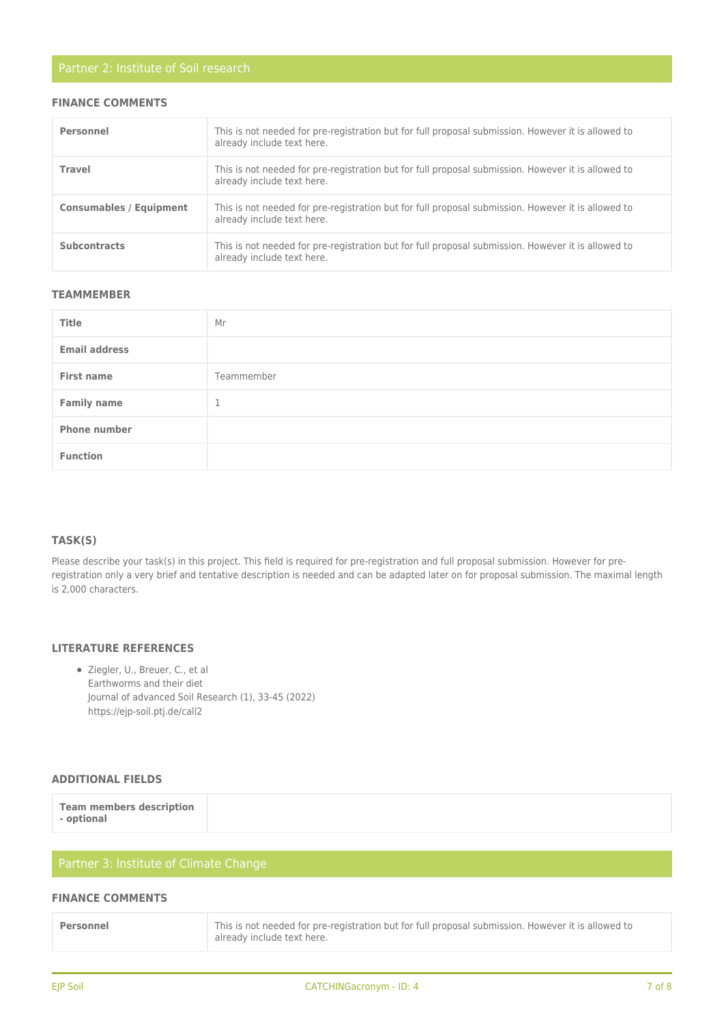#### **FINANCE COMMENTS**

| Personnel                      | This is not needed for pre-registration but for full proposal submission. However it is allowed to<br>already include text here. |
|--------------------------------|----------------------------------------------------------------------------------------------------------------------------------|
| Travel                         | This is not needed for pre-registration but for full proposal submission. However it is allowed to<br>already include text here. |
| <b>Consumables / Equipment</b> | This is not needed for pre-registration but for full proposal submission. However it is allowed to<br>already include text here. |
| <b>Subcontracts</b>            | This is not needed for pre-registration but for full proposal submission. However it is allowed to<br>already include text here. |

#### **TEAMMEMBER**

| Title                | Mr         |
|----------------------|------------|
| <b>Email address</b> |            |
| <b>First name</b>    | Teammember |
| <b>Family name</b>   | 1          |
| <b>Phone number</b>  |            |
| <b>Function</b>      |            |

#### **TASK(S)**

Please describe your task(s) in this project. This field is required for pre-registration and full proposal submission. However for preregistration only a very brief and tentative description is needed and can be adapted later on for proposal submission. The maximal length is 2,000 characters.

### **LITERATURE REFERENCES**

Ziegler, U., Breuer, C., et al Earthworms and their diet Journal of advanced Soil Research (1), 33-45 (2022) https://ejp-soil.ptj.de/call2

#### **ADDITIONAL FIELDS**

#### **FINANCE COMMENTS**

| Personnel | This is not needed for pre-registration but for full proposal submission. However it is allowed to<br>already include text here. |
|-----------|----------------------------------------------------------------------------------------------------------------------------------|
|           |                                                                                                                                  |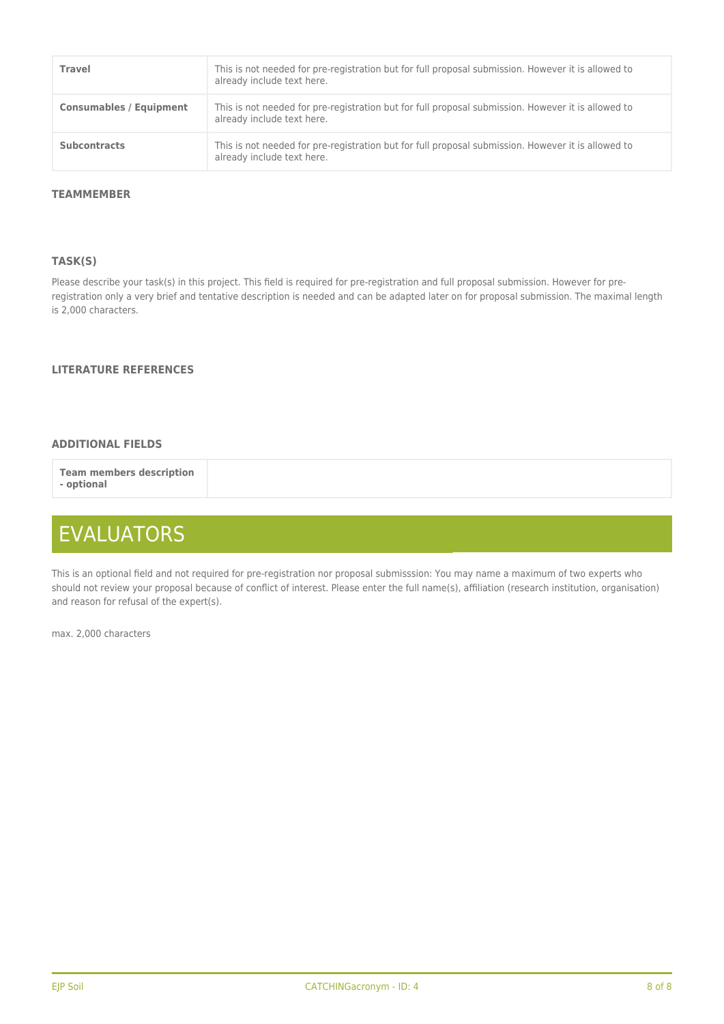| Travel                         | This is not needed for pre-registration but for full proposal submission. However it is allowed to<br>already include text here. |
|--------------------------------|----------------------------------------------------------------------------------------------------------------------------------|
| <b>Consumables / Equipment</b> | This is not needed for pre-registration but for full proposal submission. However it is allowed to<br>already include text here. |
| <b>Subcontracts</b>            | This is not needed for pre-registration but for full proposal submission. However it is allowed to<br>already include text here. |

#### **TEAMMEMBER**

#### **TASK(S)**

Please describe your task(s) in this project. This field is required for pre-registration and full proposal submission. However for preregistration only a very brief and tentative description is needed and can be adapted later on for proposal submission. The maximal length is 2,000 characters.

#### **LITERATURE REFERENCES**

#### **ADDITIONAL FIELDS**

**Team members description - optional**

## EVALUATORS

This is an optional field and not required for pre-registration nor proposal submisssion: You may name a maximum of two experts who should not review your proposal because of conflict of interest. Please enter the full name(s), affiliation (research institution, organisation) and reason for refusal of the expert(s).

max. 2,000 characters